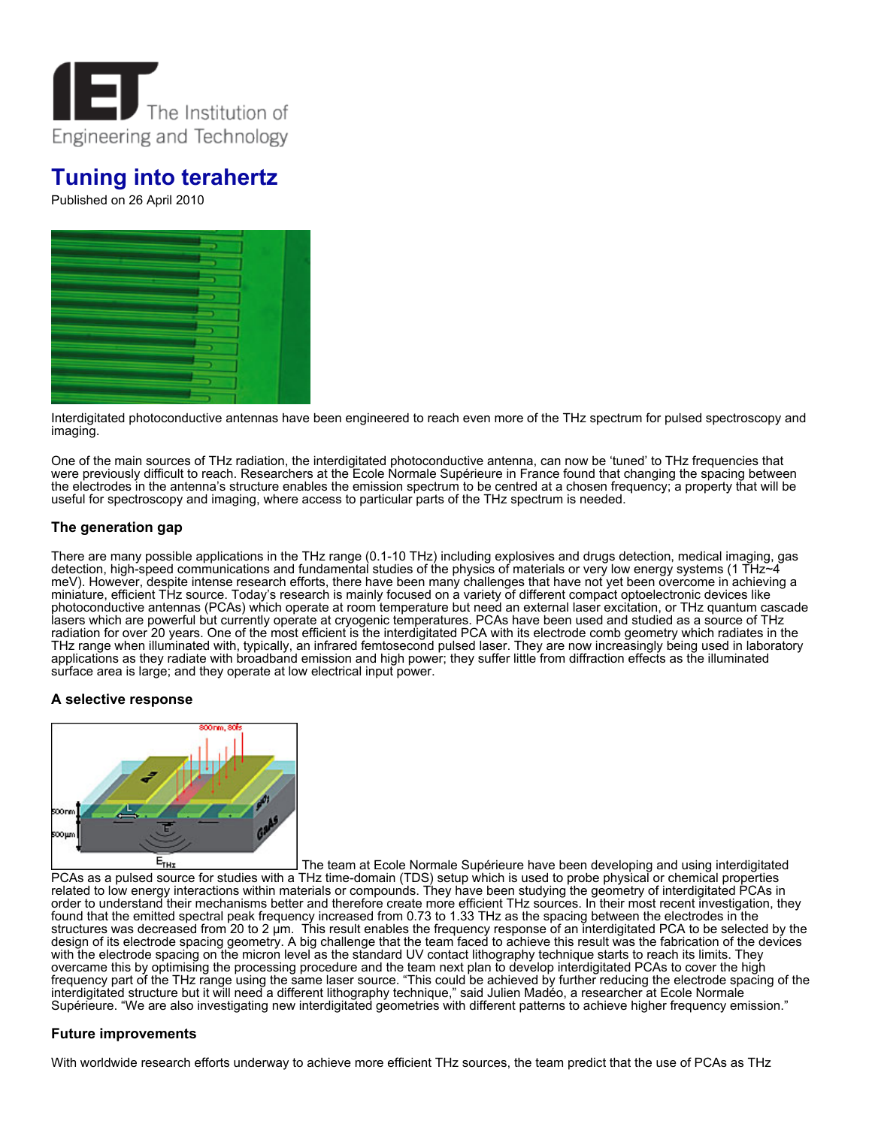

# **Tuning into terahertz**

Published on 26 April 2010



Interdigitated photoconductive antennas have been engineered to reach even more of the THz spectrum for pulsed spectroscopy and imaging.

One of the main sources of THz radiation, the interdigitated photoconductive antenna, can now be 'tuned' to THz frequencies that were previously difficult to reach. Researchers at the Ecole Normale Supérieure in France found that changing the spacing between the electrodes in the antenna's structure enables the emission spectrum to be centred at a chosen frequency; a property that will be useful for spectroscopy and imaging, where access to particular parts of the THz spectrum is needed.

# **The generation gap**

There are many possible applications in the THz range (0.1-10 THz) including explosives and drugs detection, medical imaging, gas detection, high-speed communications and fundamental studies of the physics of materials or very low energy systems (1 THz~4 meV). However, despite intense research efforts, there have been many challenges that have not yet been overcome in achieving a miniature, efficient THz source. Today's research is mainly focused on a variety of different compact optoelectronic devices like photoconductive antennas (PCAs) which operate at room temperature but need an external laser excitation, or THz quantum cascade lasers which are powerful but currently operate at cryogenic temperatures. PCAs have been used and studied as a source of THz radiation for over 20 years. One of the most efficient is the interdigitated PCA with its electrode comb geometry which radiates in the THz range when illuminated with, typically, an infrared femtosecond pulsed laser. They are now increasingly being used in laboratory applications as they radiate with broadband emission and high power; they suffer little from diffraction effects as the illuminated surface area is large; and they operate at low electrical input power.

## **A selective response**



 $E_{THI}$ The team at Ecole Normale Supérieure have been developing and using interdigitated PCAs as a pulsed source for studies with a THz time-domain (TDS) setup which is used to probe physical or chemical properties related to low energy interactions within materials or compounds. They have been studying the geometry of interdigitated PCAs in order to understand their mechanisms better and therefore create more efficient THz sources. In their most recent investigation, they found that the emitted spectral peak frequency increased from 0.73 to 1.33 THz as the spacing between the electrodes in the structures was decreased from 20 to 2 μm. This result enables the frequency response of an interdigitated PCA to be selected by the design of its electrode spacing geometry. A big challenge that the team faced to achieve this result was the fabrication of the devices with the electrode spacing on the micron level as the standard UV contact lithography technique starts to reach its limits. They overcame this by optimising the processing procedure and the team next plan to develop interdigitated PCAs to cover the high frequency part of the THz range using the same laser source. "This could be achieved by further reducing the electrode spacing of the interdigitated structure but it will need a different lithography technique," said Julien Madéo, a researcher at Ecole Normale Supérieure. "We are also investigating new interdigitated geometries with different patterns to achieve higher frequency emission."

## **Future improvements**

With worldwide research efforts underway to achieve more efficient THz sources, the team predict that the use of PCAs as THz